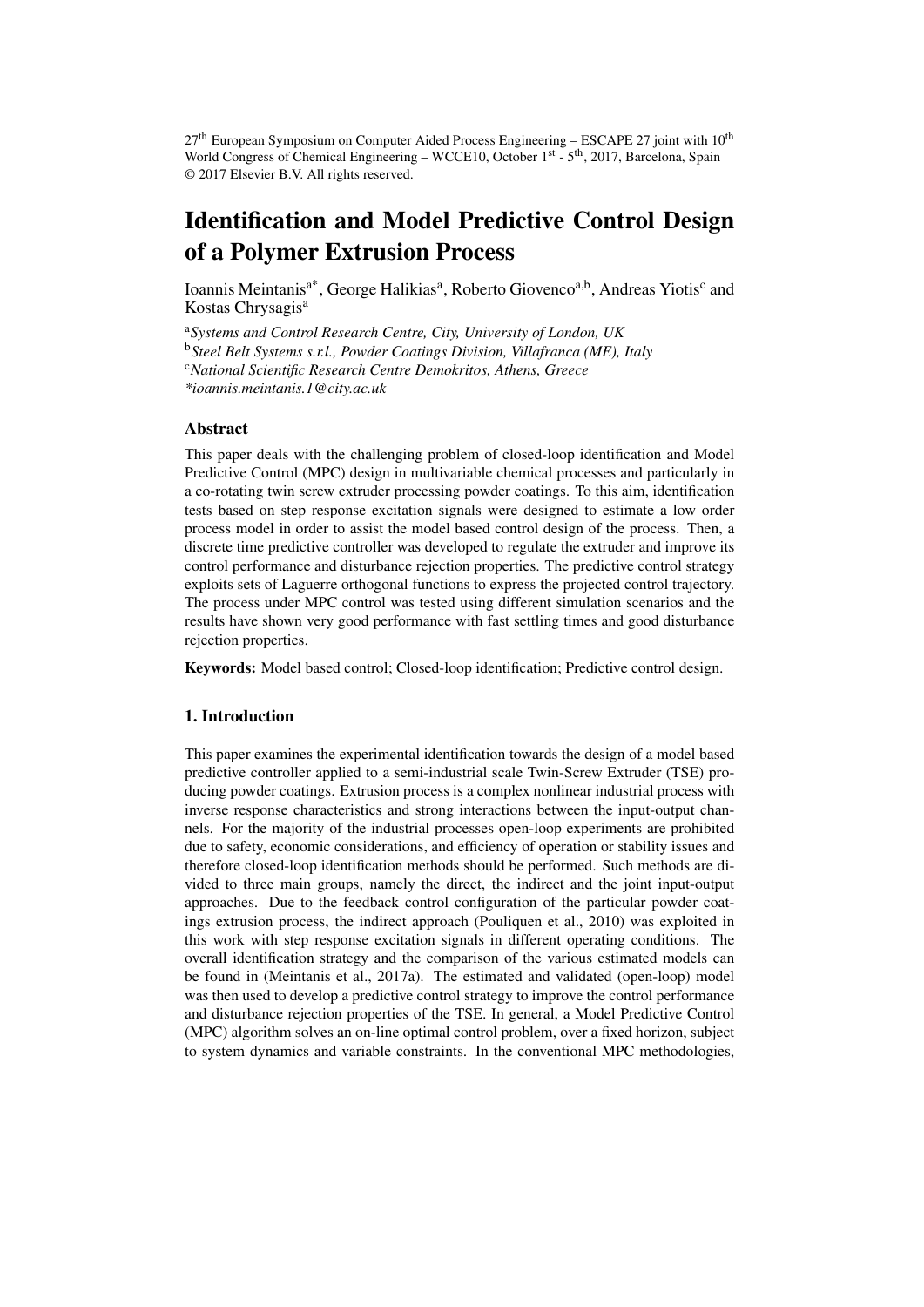$27<sup>th</sup>$  European Symposium on Computer Aided Process Engineering – ESCAPE 27 joint with  $10<sup>th</sup>$ World Congress of Chemical Engineering – WCCE10, October  $1<sup>st</sup>$  -  $5<sup>th</sup>$ , 2017, Barcelona, Spain © 2017 Elsevier B.V. All rights reserved.

# Identification and Model Predictive Control Design of a Polymer Extrusion Process

Ioannis Meintanis<sup>a\*</sup>, George Halikias<sup>a</sup>, Roberto Giovenco<sup>a,b</sup>, Andreas Yiotis<sup>c</sup> and Kostas Chrysagis<sup>a</sup>

<sup>a</sup>*Systems and Control Research Centre, City, University of London, UK* <sup>b</sup>*Steel Belt Systems s.r.l., Powder Coatings Division, Villafranca (ME), Italy* <sup>c</sup>*National Scientific Research Centre Demokritos, Athens, Greece \*ioannis.meintanis.1@city.ac.uk*

# **Abstract**

This paper deals with the challenging problem of closed-loop identification and Model Predictive Control (MPC) design in multivariable chemical processes and particularly in a co-rotating twin screw extruder processing powder coatings. To this aim, identification tests based on step response excitation signals were designed to estimate a low order process model in order to assist the model based control design of the process. Then, a discrete time predictive controller was developed to regulate the extruder and improve its control performance and disturbance rejection properties. The predictive control strategy exploits sets of Laguerre orthogonal functions to express the projected control trajectory. The process under MPC control was tested using different simulation scenarios and the results have shown very good performance with fast settling times and good disturbance rejection properties.

Keywords: Model based control; Closed-loop identification; Predictive control design.

# 1. Introduction

This paper examines the experimental identification towards the design of a model based predictive controller applied to a semi-industrial scale Twin-Screw Extruder (TSE) producing powder coatings. Extrusion process is a complex nonlinear industrial process with inverse response characteristics and strong interactions between the input-output channels. For the majority of the industrial processes open-loop experiments are prohibited due to safety, economic considerations, and efficiency of operation or stability issues and therefore closed-loop identification methods should be performed. Such methods are divided to three main groups, namely the direct, the indirect and the joint input-output approaches. Due to the feedback control configuration of the particular powder coatings extrusion process, the indirect approach (Pouliquen et al., 2010) was exploited in this work with step response excitation signals in different operating conditions. The overall identification strategy and the comparison of the various estimated models can be found in (Meintanis et al., 2017a). The estimated and validated (open-loop) model was then used to develop a predictive control strategy to improve the control performance and disturbance rejection properties of the TSE. In general, a Model Predictive Control (MPC) algorithm solves an on-line optimal control problem, over a fixed horizon, subject to system dynamics and variable constraints. In the conventional MPC methodologies,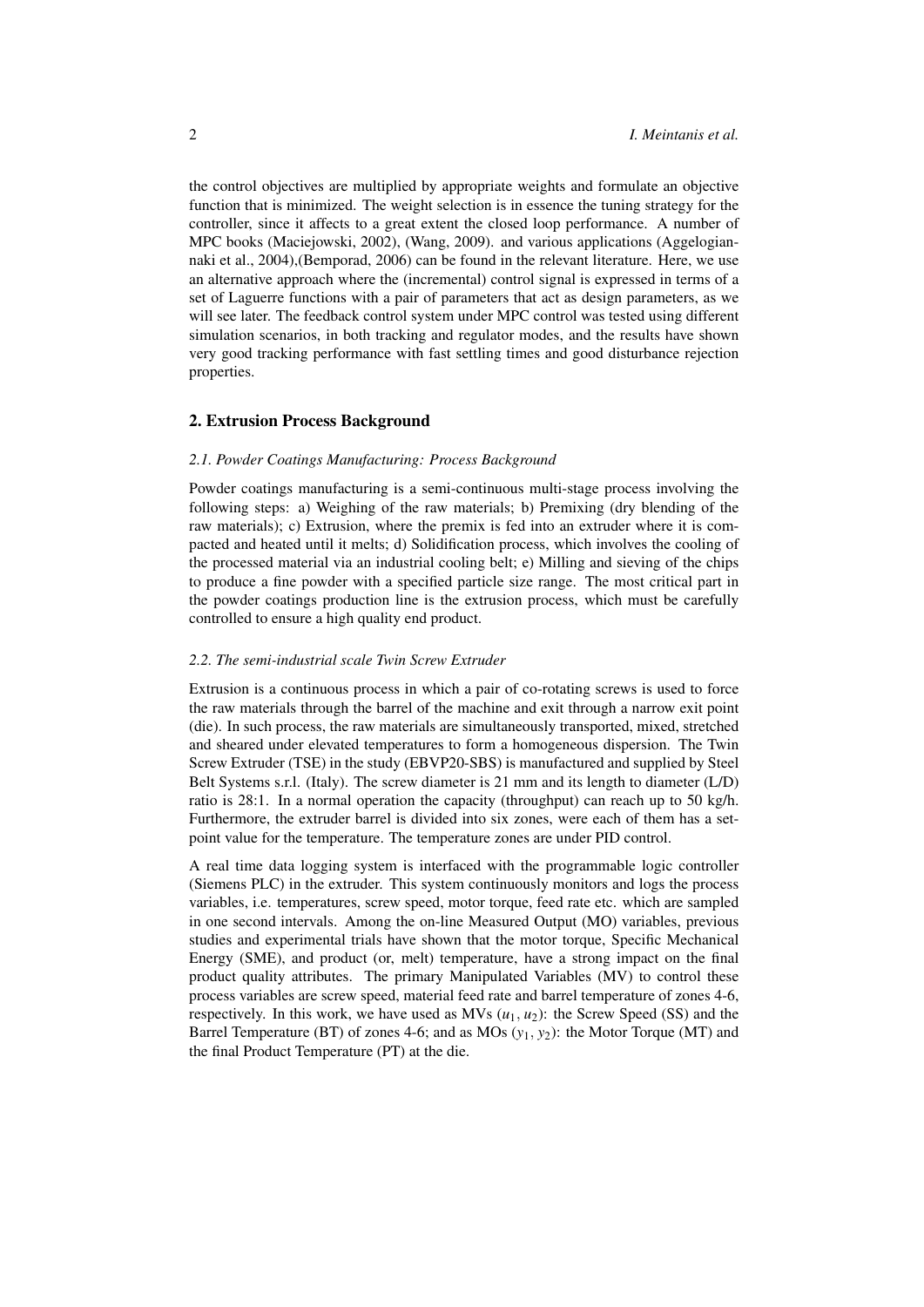the control objectives are multiplied by appropriate weights and formulate an objective function that is minimized. The weight selection is in essence the tuning strategy for the controller, since it affects to a great extent the closed loop performance. A number of MPC books (Maciejowski, 2002), (Wang, 2009). and various applications (Aggelogiannaki et al., 2004),(Bemporad, 2006) can be found in the relevant literature. Here, we use an alternative approach where the (incremental) control signal is expressed in terms of a set of Laguerre functions with a pair of parameters that act as design parameters, as we will see later. The feedback control system under MPC control was tested using different simulation scenarios, in both tracking and regulator modes, and the results have shown very good tracking performance with fast settling times and good disturbance rejection properties.

#### 2. Extrusion Process Background

#### *2.1. Powder Coatings Manufacturing: Process Background*

Powder coatings manufacturing is a semi-continuous multi-stage process involving the following steps: a) Weighing of the raw materials; b) Premixing (dry blending of the raw materials); c) Extrusion, where the premix is fed into an extruder where it is compacted and heated until it melts; d) Solidification process, which involves the cooling of the processed material via an industrial cooling belt; e) Milling and sieving of the chips to produce a fine powder with a specified particle size range. The most critical part in the powder coatings production line is the extrusion process, which must be carefully controlled to ensure a high quality end product.

## *2.2. The semi-industrial scale Twin Screw Extruder*

Extrusion is a continuous process in which a pair of co-rotating screws is used to force the raw materials through the barrel of the machine and exit through a narrow exit point (die). In such process, the raw materials are simultaneously transported, mixed, stretched and sheared under elevated temperatures to form a homogeneous dispersion. The Twin Screw Extruder (TSE) in the study (EBVP20-SBS) is manufactured and supplied by Steel Belt Systems s.r.l. (Italy). The screw diameter is 21 mm and its length to diameter (L/D) ratio is 28:1. In a normal operation the capacity (throughput) can reach up to 50 kg/h. Furthermore, the extruder barrel is divided into six zones, were each of them has a setpoint value for the temperature. The temperature zones are under PID control.

A real time data logging system is interfaced with the programmable logic controller (Siemens PLC) in the extruder. This system continuously monitors and logs the process variables, i.e. temperatures, screw speed, motor torque, feed rate etc. which are sampled in one second intervals. Among the on-line Measured Output (MO) variables, previous studies and experimental trials have shown that the motor torque, Specific Mechanical Energy (SME), and product (or, melt) temperature, have a strong impact on the final product quality attributes. The primary Manipulated Variables (MV) to control these process variables are screw speed, material feed rate and barrel temperature of zones 4-6, respectively. In this work, we have used as  $MVs$  ( $u_1, u_2$ ): the Screw Speed (SS) and the Barrel Temperature (BT) of zones 4-6; and as MOs  $(y_1, y_2)$ : the Motor Torque (MT) and the final Product Temperature (PT) at the die.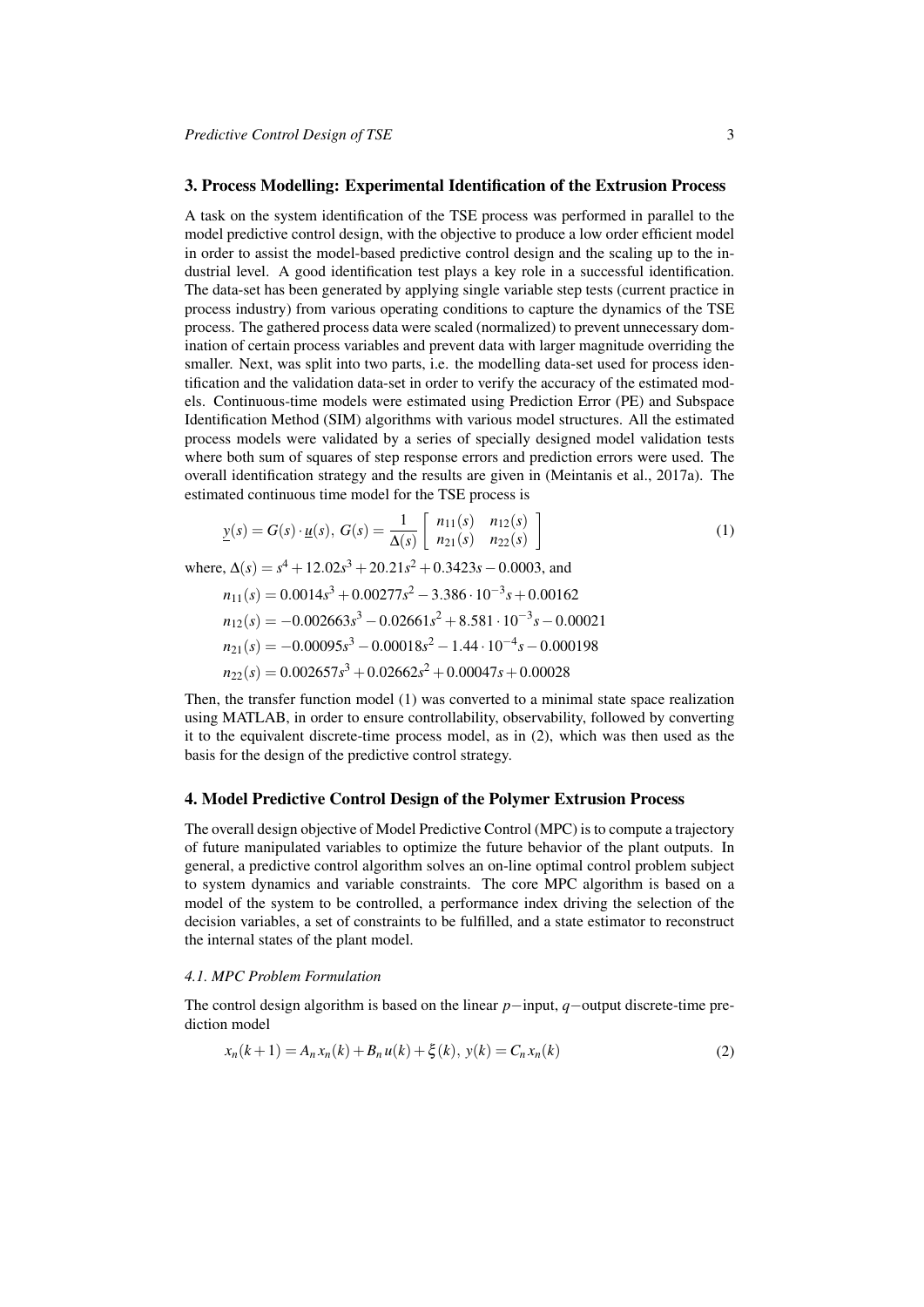# 3. Process Modelling: Experimental Identification of the Extrusion Process

A task on the system identification of the TSE process was performed in parallel to the model predictive control design, with the objective to produce a low order efficient model in order to assist the model-based predictive control design and the scaling up to the industrial level. A good identification test plays a key role in a successful identification. The data-set has been generated by applying single variable step tests (current practice in process industry) from various operating conditions to capture the dynamics of the TSE process. The gathered process data were scaled (normalized) to prevent unnecessary domination of certain process variables and prevent data with larger magnitude overriding the smaller. Next, was split into two parts, i.e. the modelling data-set used for process identification and the validation data-set in order to verify the accuracy of the estimated models. Continuous-time models were estimated using Prediction Error (PE) and Subspace Identification Method (SIM) algorithms with various model structures. All the estimated process models were validated by a series of specially designed model validation tests where both sum of squares of step response errors and prediction errors were used. The overall identification strategy and the results are given in (Meintanis et al., 2017a). The estimated continuous time model for the TSE process is

$$
\underline{y}(s) = G(s) \cdot \underline{u}(s), \ G(s) = \frac{1}{\Delta(s)} \begin{bmatrix} n_{11}(s) & n_{12}(s) \\ n_{21}(s) & n_{22}(s) \end{bmatrix}
$$
 (1)

where,  $\Delta(s) = s^4 + 12.02s^3 + 20.21s^2 + 0.3423s - 0.0003$ , and

$$
n_{11}(s) = 0.0014s3 + 0.00277s2 - 3.386 \cdot 10-3s + 0.00162
$$
  
\n
$$
n_{12}(s) = -0.002663s3 - 0.02661s2 + 8.581 \cdot 10-3s - 0.00021
$$
  
\n
$$
n_{21}(s) = -0.00095s3 - 0.00018s2 - 1.44 \cdot 10-4s - 0.000198
$$
  
\n
$$
n_{22}(s) = 0.002657s3 + 0.02662s2 + 0.00047s + 0.00028
$$

Then, the transfer function model (1) was converted to a minimal state space realization using MATLAB, in order to ensure controllability, observability, followed by converting it to the equivalent discrete-time process model, as in (2), which was then used as the basis for the design of the predictive control strategy.

## 4. Model Predictive Control Design of the Polymer Extrusion Process

The overall design objective of Model Predictive Control (MPC) is to compute a trajectory of future manipulated variables to optimize the future behavior of the plant outputs. In general, a predictive control algorithm solves an on-line optimal control problem subject to system dynamics and variable constraints. The core MPC algorithm is based on a model of the system to be controlled, a performance index driving the selection of the decision variables, a set of constraints to be fulfilled, and a state estimator to reconstruct the internal states of the plant model.

#### *4.1. MPC Problem Formulation*

The control design algorithm is based on the linear *p*−input, *q*−output discrete-time prediction model

$$
x_n(k+1) = A_n x_n(k) + B_n u(k) + \xi(k), \ y(k) = C_n x_n(k)
$$
\n(2)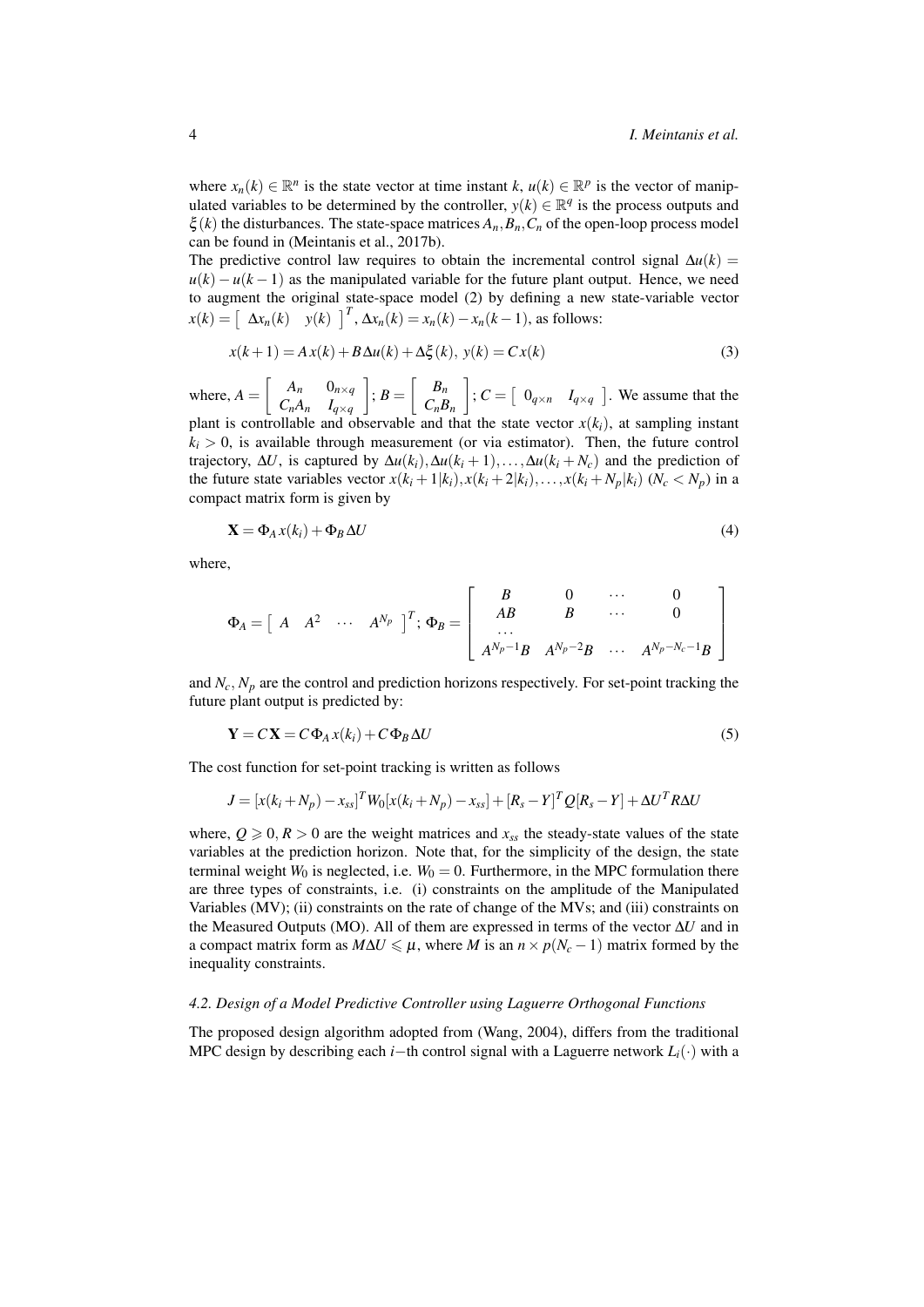where  $x_n(k) \in \mathbb{R}^n$  is the state vector at time instant  $k, u(k) \in \mathbb{R}^p$  is the vector of manipulated variables to be determined by the controller,  $y(k) \in \mathbb{R}^q$  is the process outputs and  $\xi(k)$  the disturbances. The state-space matrices  $A_n$ ,  $B_n$ ,  $C_n$  of the open-loop process model can be found in (Meintanis et al., 2017b).

The predictive control law requires to obtain the incremental control signal  $\Delta u(k)$  =  $u(k) - u(k-1)$  as the manipulated variable for the future plant output. Hence, we need to augment the original state-space model (2) by defining a new state-variable vector  $x(k) = \left[ \begin{array}{cc} \Delta x_n(k) & y(k) \end{array} \right]^T$ ,  $\Delta x_n(k) = x_n(k) - x_n(k-1)$ , as follows:

$$
x(k+1) = Ax(k) + B\Delta u(k) + \Delta \xi(k), \ y(k) = Cx(k)
$$
\n(3)

where,  $A = \begin{bmatrix} A_n & 0_{n \times q} \\ C_A & I \end{bmatrix}$  $C_nA_n$   $I_{q\times q}$  $\Bigg], B = \Bigg[ \begin{array}{c} B_n \ B_n \end{array}$  $C_nB_n$  $\left| \begin{array}{cc} C = \begin{bmatrix} 0_{q \times n} & I_{q \times q} \end{bmatrix} \end{array} \right|$ . We assume that the plant is controllable and observable and that the state vector  $x(k_i)$ , at sampling instant  $k_i > 0$ , is available through measurement (or via estimator). Then, the future control trajectory,  $\Delta U$ , is captured by  $\Delta u(k_i), \Delta u(k_i+1), \ldots, \Delta u(k_i+N_c)$  and the prediction of the future state variables vector  $x(k_i + 1|k_i)$ ,  $x(k_i + 2|k_i)$ , ...,  $x(k_i + N_p|k_i)$   $(N_c < N_p)$  in a compact matrix form is given by

$$
\mathbf{X} = \Phi_A x(k_i) + \Phi_B \Delta U \tag{4}
$$

where,

$$
\Phi_A=\left[\begin{array}{ccccccccc}A&A^2&\cdots&A^{N_p}&\end{array}\right]^T;\ \Phi_B=\left[\begin{array}{cccccc}B&0&\cdots&0\\AB&B&\cdots&0\\ \cdots&&&&0\\ A^{N_p-1}B&A^{N_p-2}B&\cdots&A^{N_p-N_c-1}B\end{array}\right]
$$

and  $N_c$ ,  $N_p$  are the control and prediction horizons respectively. For set-point tracking the future plant output is predicted by:

$$
\mathbf{Y} = C\mathbf{X} = C\Phi_A x(k_i) + C\Phi_B \Delta U \tag{5}
$$

The cost function for set-point tracking is written as follows

$$
J = [x(k_i + N_p) - x_{ss}]^T W_0 [x(k_i + N_p) - x_{ss}] + [R_s - Y]^T Q [R_s - Y] + \Delta U^T R \Delta U
$$

where,  $Q \ge 0$ ,  $R > 0$  are the weight matrices and  $x_{ss}$  the steady-state values of the state variables at the prediction horizon. Note that, for the simplicity of the design, the state terminal weight  $W_0$  is neglected, i.e.  $W_0 = 0$ . Furthermore, in the MPC formulation there are three types of constraints, i.e. (i) constraints on the amplitude of the Manipulated Variables (MV); (ii) constraints on the rate of change of the MVs; and (iii) constraints on the Measured Outputs (MO). All of them are expressed in terms of the vector ∆*U* and in a compact matrix form as  $M\Delta U \leq \mu$ , where *M* is an  $n \times p(N_c - 1)$  matrix formed by the inequality constraints.

#### *4.2. Design of a Model Predictive Controller using Laguerre Orthogonal Functions*

The proposed design algorithm adopted from (Wang, 2004), differs from the traditional MPC design by describing each *i*−th control signal with a Laguerre network *Li*(·) with a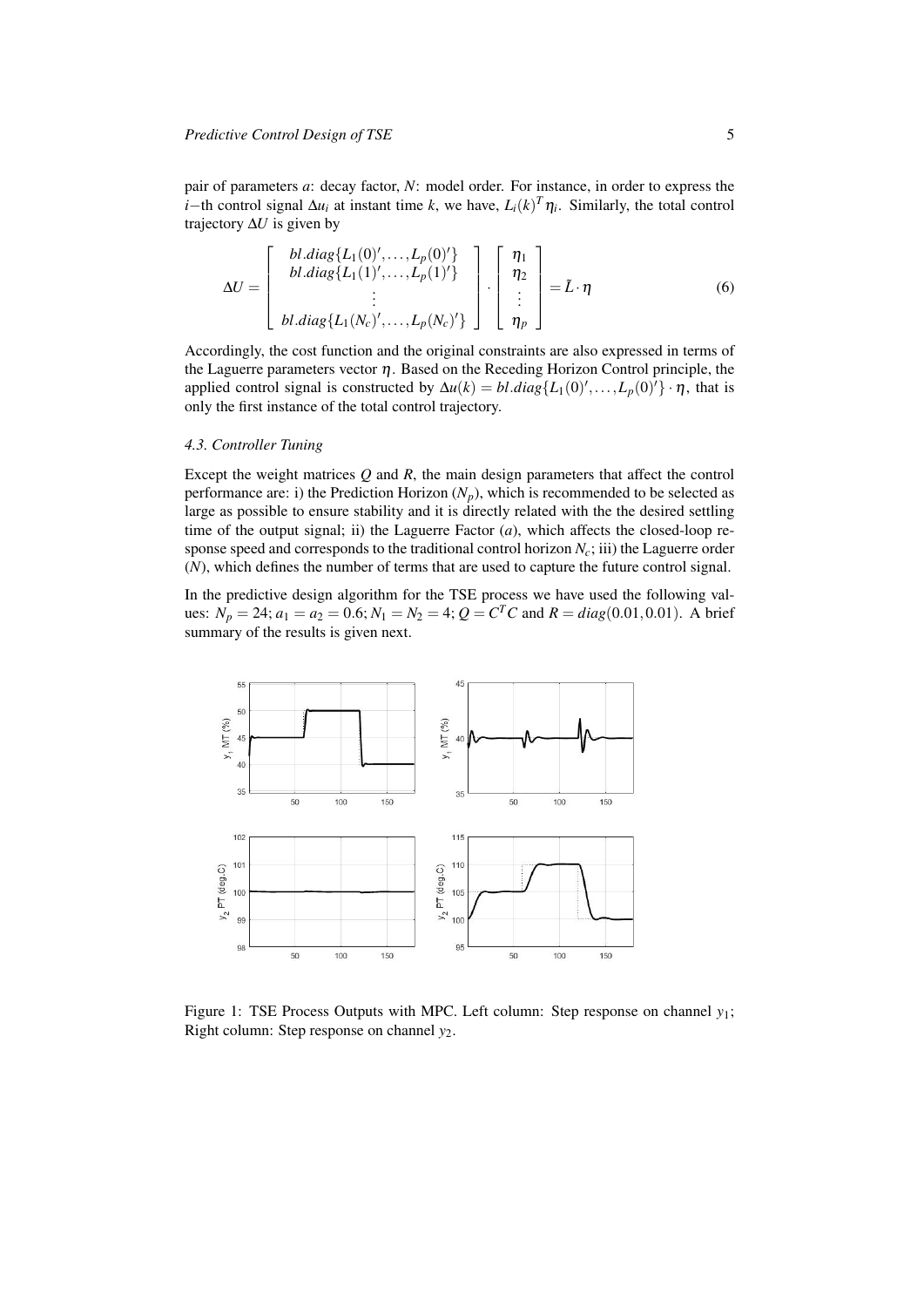pair of parameters *a*: decay factor, *N*: model order. For instance, in order to express the *i*−th control signal  $\Delta u_i$  at instant time *k*, we have,  $L_i(k)$ <sup>T</sup> $\eta_i$ . Similarly, the total control trajectory ∆*U* is given by

$$
\Delta U = \begin{bmatrix} bl.diag\{L_1(0)', \dots, L_p(0)'\} \\ bl.diag\{L_1(1)', \dots, L_p(1)'\} \\ \vdots \\ bl.diag\{L_1(N_c)', \dots, L_p(N_c)'\} \end{bmatrix} \cdot \begin{bmatrix} \eta_1 \\ \eta_2 \\ \vdots \\ \eta_p \end{bmatrix} = \tilde{L} \cdot \eta
$$
 (6)

Accordingly, the cost function and the original constraints are also expressed in terms of the Laguerre parameters vector  $\eta$ . Based on the Receding Horizon Control principle, the applied control signal is constructed by  $\Delta u(k) = bl$ .*diag*{ $L_1(0)'$ ,..., $L_p(0)'$ } ·  $\eta$ , that is only the first instance of the total control trajectory.

#### *4.3. Controller Tuning*

Except the weight matrices *Q* and *R*, the main design parameters that affect the control performance are: i) the Prediction Horizon  $(N_p)$ , which is recommended to be selected as large as possible to ensure stability and it is directly related with the the desired settling time of the output signal; ii) the Laguerre Factor  $(a)$ , which affects the closed-loop response speed and corresponds to the traditional control horizon  $N_c$ ; iii) the Laguerre order (*N*), which defines the number of terms that are used to capture the future control signal.

In the predictive design algorithm for the TSE process we have used the following values:  $N_p = 24$ ;  $a_1 = a_2 = 0.6$ ;  $N_1 = N_2 = 4$ ;  $Q = C^T C$  and  $R = diag(0.01, 0.01)$ . A brief summary of the results is given next.



Figure 1: TSE Process Outputs with MPC. Left column: Step response on channel *y*1; Right column: Step response on channel *y*2.